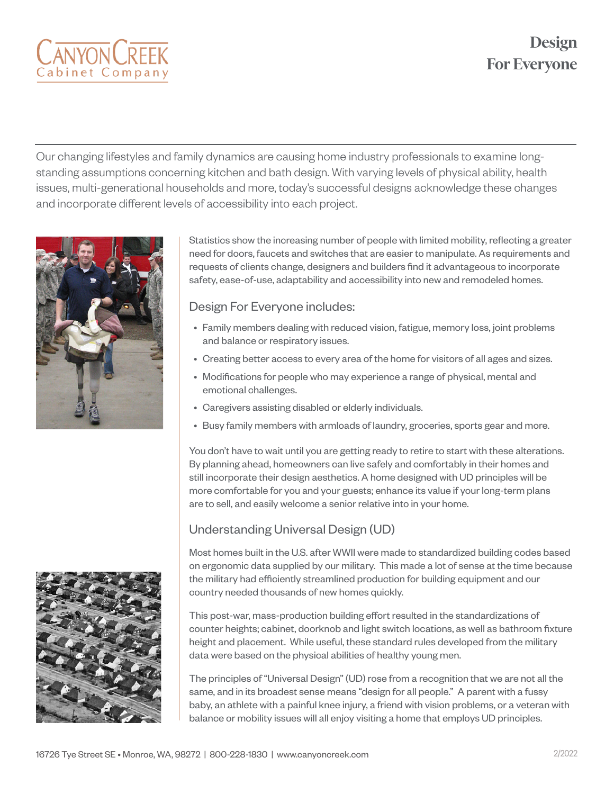# **Design For Everyone**



Our changing lifestyles and family dynamics are causing home industry professionals to examine longstanding assumptions concerning kitchen and bath design. With varying levels of physical ability, health issues, multi-generational households and more, today's successful designs acknowledge these changes and incorporate different levels of accessibility into each project.



Statistics show the increasing number of people with limited mobility, reflecting a greater need for doors, faucets and switches that are easier to manipulate. As requirements and requests of clients change, designers and builders find it advantageous to incorporate safety, ease-of-use, adaptability and accessibility into new and remodeled homes.

#### Design For Everyone includes:

- Family members dealing with reduced vision, fatigue, memory loss, joint problems and balance or respiratory issues.
- Creating better access to every area of the home for visitors of all ages and sizes.
- Modifications for people who may experience a range of physical, mental and emotional challenges.
- Caregivers assisting disabled or elderly individuals.
- Busy family members with armloads of laundry, groceries, sports gear and more.

You don't have to wait until you are getting ready to retire to start with these alterations. By planning ahead, homeowners can live safely and comfortably in their homes and still incorporate their design aesthetics. A home designed with UD principles will be more comfortable for you and your guests; enhance its value if your long-term plans are to sell, and easily welcome a senior relative into in your home.

### Understanding Universal Design (UD)

Most homes built in the U.S. after WWII were made to standardized building codes based on ergonomic data supplied by our military. This made a lot of sense at the time because the military had efficiently streamlined production for building equipment and our country needed thousands of new homes quickly.

This post-war, mass-production building effort resulted in the standardizations of counter heights; cabinet, doorknob and light switch locations, as well as bathroom fixture height and placement. While useful, these standard rules developed from the military data were based on the physical abilities of healthy young men.

The principles of "Universal Design" (UD) rose from a recognition that we are not all the same, and in its broadest sense means "design for all people." A parent with a fussy baby, an athlete with a painful knee injury, a friend with vision problems, or a veteran with balance or mobility issues will all enjoy visiting a home that employs UD principles.

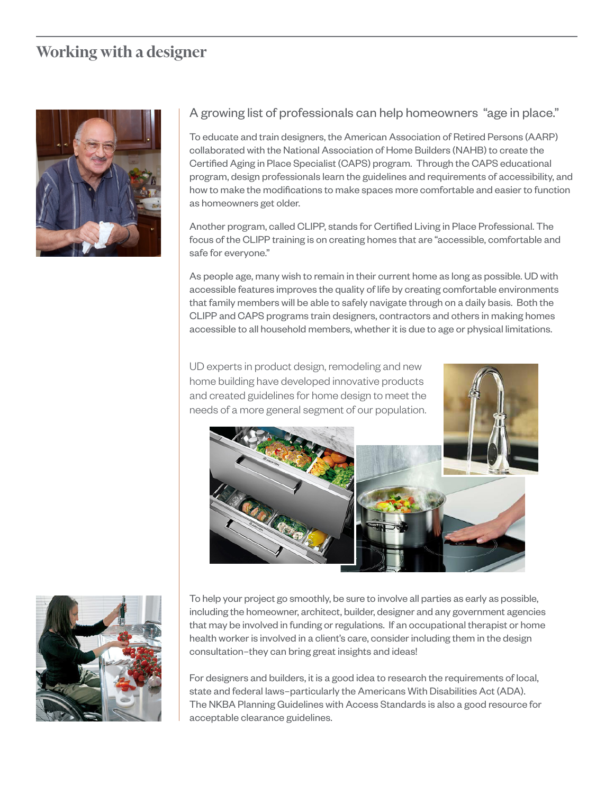### **Working with a designer**



#### A growing list of professionals can help homeowners "age in place."

To educate and train designers, the American Association of Retired Persons (AARP) collaborated with the National Association of Home Builders (NAHB) to create the Certified Aging in Place Specialist (CAPS) program. Through the CAPS educational program, design professionals learn the guidelines and requirements of accessibility, and how to make the modifications to make spaces more comfortable and easier to function as homeowners get older.

Another program, called CLIPP, stands for Certified Living in Place Professional. The focus of the CLIPP training is on creating homes that are "accessible, comfortable and safe for everyone."

As people age, many wish to remain in their current home as long as possible. UD with accessible features improves the quality of life by creating comfortable environments that family members will be able to safely navigate through on a daily basis. Both the CLIPP and CAPS programs train designers, contractors and others in making homes accessible to all household members, whether it is due to age or physical limitations.

UD experts in product design, remodeling and new home building have developed innovative products and created guidelines for home design to meet the needs of a more general segment of our population.





To help your project go smoothly, be sure to involve all parties as early as possible, including the homeowner, architect, builder, designer and any government agencies that may be involved in funding or regulations. If an occupational therapist or home health worker is involved in a client's care, consider including them in the design consultation–they can bring great insights and ideas!

For designers and builders, it is a good idea to research the requirements of local, state and federal laws–particularly the Americans With Disabilities Act (ADA). The NKBA Planning Guidelines with Access Standards is also a good resource for acceptable clearance guidelines.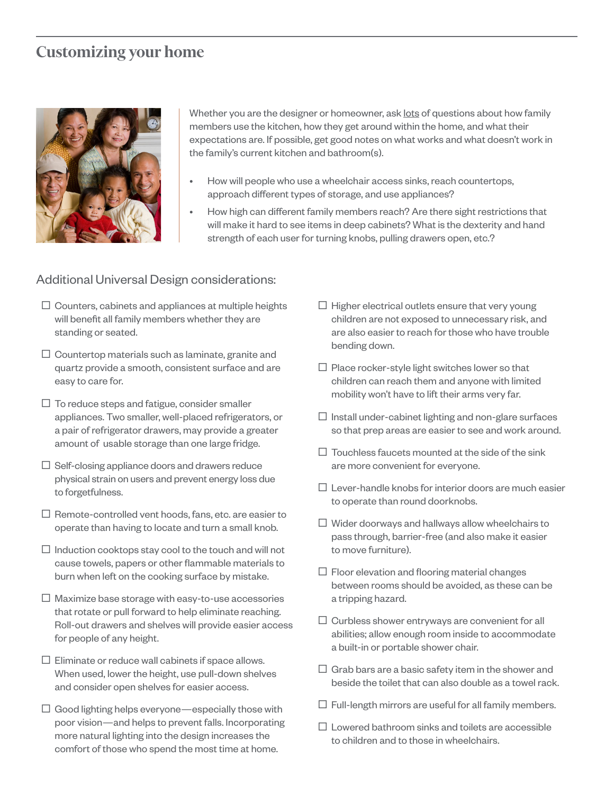### **Customizing your home**



Whether you are the designer or homeowner, ask lots of questions about how family members use the kitchen, how they get around within the home, and what their expectations are. If possible, get good notes on what works and what doesn't work in the family's current kitchen and bathroom(s).

- How will people who use a wheelchair access sinks, reach countertops, approach different types of storage, and use appliances?
- How high can different family members reach? Are there sight restrictions that will make it hard to see items in deep cabinets? What is the dexterity and hand strength of each user for turning knobs, pulling drawers open, etc.?

### Additional Universal Design considerations:

- $\square$  Counters, cabinets and appliances at multiple heights will benefit all family members whether they are standing or seated.
- $\Box$  Countertop materials such as laminate, granite and quartz provide a smooth, consistent surface and are easy to care for.
- $\Box$  To reduce steps and fatigue, consider smaller appliances. Two smaller, well-placed refrigerators, or a pair of refrigerator drawers, may provide a greater amount of usable storage than one large fridge.
- $\Box$  Self-closing appliance doors and drawers reduce physical strain on users and prevent energy loss due to forgetfulness.
- $\Box$  Remote-controlled vent hoods, fans, etc. are easier to operate than having to locate and turn a small knob.
- $\Box$  Induction cooktops stay cool to the touch and will not cause towels, papers or other flammable materials to burn when left on the cooking surface by mistake.
- $\Box$  Maximize base storage with easy-to-use accessories that rotate or pull forward to help eliminate reaching. Roll-out drawers and shelves will provide easier access for people of any height.
- $\square$  Eliminate or reduce wall cabinets if space allows. When used, lower the height, use pull-down shelves and consider open shelves for easier access.
- $\Box$  Good lighting helps everyone—especially those with poor vision—and helps to prevent falls. Incorporating more natural lighting into the design increases the comfort of those who spend the most time at home.
- $\Box$  Higher electrical outlets ensure that very young children are not exposed to unnecessary risk, and are also easier to reach for those who have trouble bending down.
- $\square$  Place rocker-style light switches lower so that children can reach them and anyone with limited mobility won't have to lift their arms very far.
- $\Box$  Install under-cabinet lighting and non-glare surfaces so that prep areas are easier to see and work around.
- $\Box$  Touchless faucets mounted at the side of the sink are more convenient for everyone.
- $\Pi$  Lever-handle knobs for interior doors are much easier to operate than round doorknobs.
- $\Box$  Wider doorways and hallways allow wheelchairs to pass through, barrier-free (and also make it easier to move furniture).
- $\Box$  Floor elevation and flooring material changes between rooms should be avoided, as these can be a tripping hazard.
- $\Box$  Curbless shower entryways are convenient for all abilities; allow enough room inside to accommodate a built-in or portable shower chair.
- $\Box$  Grab bars are a basic safety item in the shower and beside the toilet that can also double as a towel rack.
- $\Box$  Full-length mirrors are useful for all family members.
- $\square$  Lowered bathroom sinks and toilets are accessible to children and to those in wheelchairs.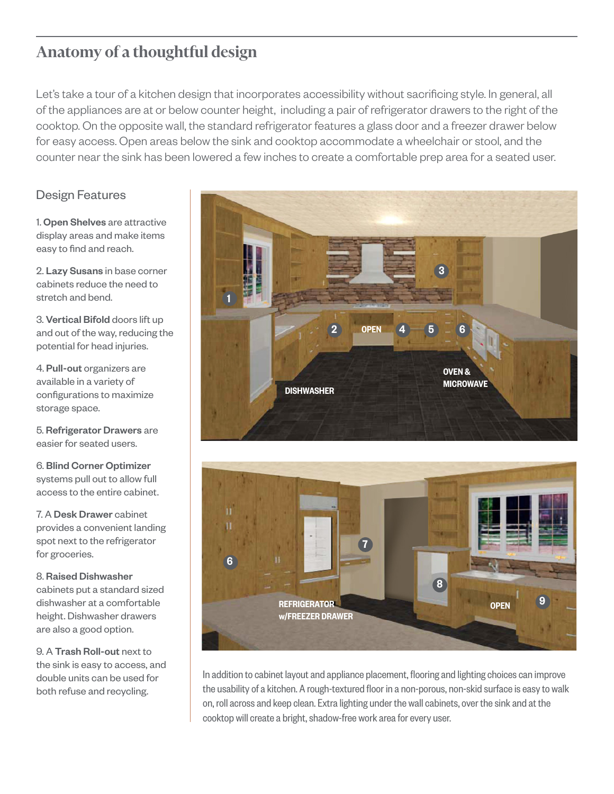## **Anatomy of a thoughtful design**

Let's take a tour of a kitchen design that incorporates accessibility without sacrificing style. In general, all of the appliances are at or below counter height, including a pair of refrigerator drawers to the right of the cooktop. On the opposite wall, the standard refrigerator features a glass door and a freezer drawer below for easy access. Open areas below the sink and cooktop accommodate a wheelchair or stool, and the counter near the sink has been lowered a few inches to create a comfortable prep area for a seated user.

### Design Features

1. Open Shelves are attractive display areas and make items easy to find and reach.

2. Lazy Susans in base corner cabinets reduce the need to stretch and bend.

3. Vertical Bifold doors lift up and out of the way, reducing the potential for head injuries.

4. Pull-out organizers are available in a variety of configurations to maximize storage space.

5. Refrigerator Drawers are easier for seated users.

6. Blind Corner Optimizer systems pull out to allow full access to the entire cabinet.

7. A Desk Drawer cabinet provides a convenient landing spot next to the refrigerator for groceries.

#### 8. Raised Dishwasher

cabinets put a standard sized dishwasher at a comfortable height. Dishwasher drawers are also a good option.

9. A Trash Roll-out next to the sink is easy to access, and double units can be used for both refuse and recycling.





In addition to cabinet layout and appliance placement, flooring and lighting choices can improve the usability of a kitchen. A rough-textured floor in a non-porous, non-skid surface is easy to walk on, roll across and keep clean. Extra lighting under the wall cabinets, over the sink and at the cooktop will create a bright, shadow-free work area for every user.